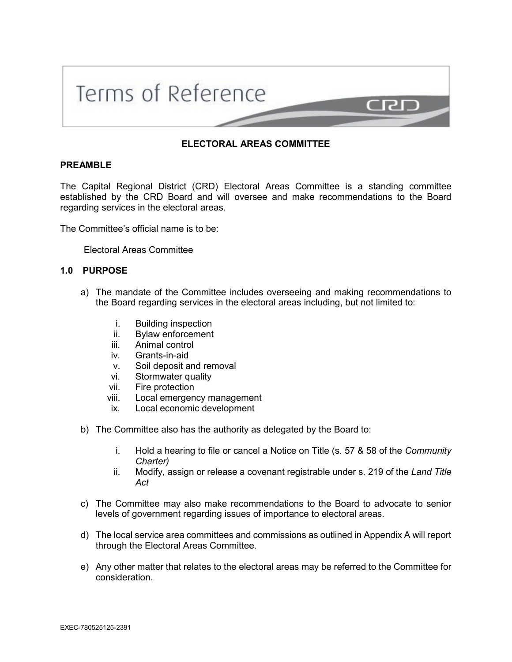

## **ELECTORAL AREAS COMMITTEE**

#### **PREAMBLE**

The Capital Regional District (CRD) Electoral Areas Committee is a standing committee established by the CRD Board and will oversee and make recommendations to the Board regarding services in the electoral areas.

The Committee's official name is to be:

Electoral Areas Committee

### **1.0 PURPOSE**

- a) The mandate of the Committee includes overseeing and making recommendations to the Board regarding services in the electoral areas including, but not limited to:
	- i. Building inspection
	- ii. Bylaw enforcement
	- iii. Animal control
	- iv. Grants-in-aid
	- v. Soil deposit and removal
	- vi. Stormwater quality
	- vii. Fire protection
	- viii. Local emergency management
	- ix. Local economic development
- b) The Committee also has the authority as delegated by the Board to:
	- i. Hold a hearing to file or cancel a Notice on Title (s. 57 & 58 of the *Community Charter)*
	- ii. Modify, assign or release a covenant registrable under s. 219 of the *Land Title Act*
- c) The Committee may also make recommendations to the Board to advocate to senior levels of government regarding issues of importance to electoral areas.
- d) The local service area committees and commissions as outlined in Appendix A will report through the Electoral Areas Committee.
- e) Any other matter that relates to the electoral areas may be referred to the Committee for consideration.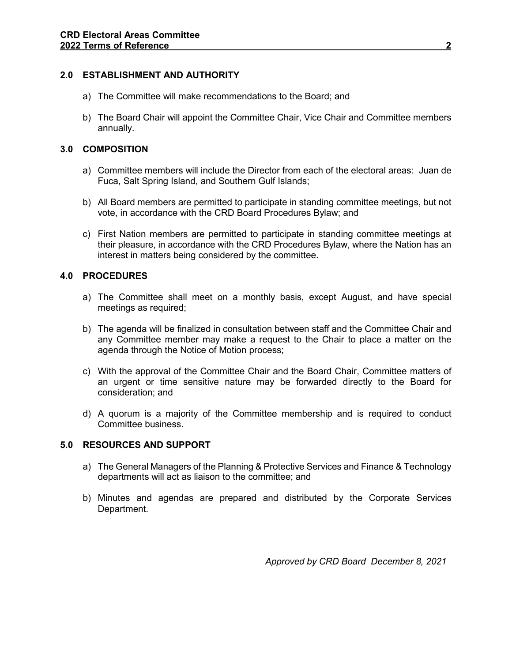# **2.0 ESTABLISHMENT AND AUTHORITY**

- a) The Committee will make recommendations to the Board; and
- b) The Board Chair will appoint the Committee Chair, Vice Chair and Committee members annually.

# **3.0 COMPOSITION**

- a) Committee members will include the Director from each of the electoral areas: Juan de Fuca, Salt Spring Island, and Southern Gulf Islands;
- b) All Board members are permitted to participate in standing committee meetings, but not vote, in accordance with the CRD Board Procedures Bylaw; and
- c) First Nation members are permitted to participate in standing committee meetings at their pleasure, in accordance with the CRD Procedures Bylaw, where the Nation has an interest in matters being considered by the committee.

# **4.0 PROCEDURES**

- a) The Committee shall meet on a monthly basis, except August, and have special meetings as required;
- b) The agenda will be finalized in consultation between staff and the Committee Chair and any Committee member may make a request to the Chair to place a matter on the agenda through the Notice of Motion process;
- c) With the approval of the Committee Chair and the Board Chair, Committee matters of an urgent or time sensitive nature may be forwarded directly to the Board for consideration; and
- d) A quorum is a majority of the Committee membership and is required to conduct Committee business.

### **5.0 RESOURCES AND SUPPORT**

- a) The General Managers of the Planning & Protective Services and Finance & Technology departments will act as liaison to the committee; and
- b) Minutes and agendas are prepared and distributed by the Corporate Services Department.

*Approved by CRD Board December 8, 2021*